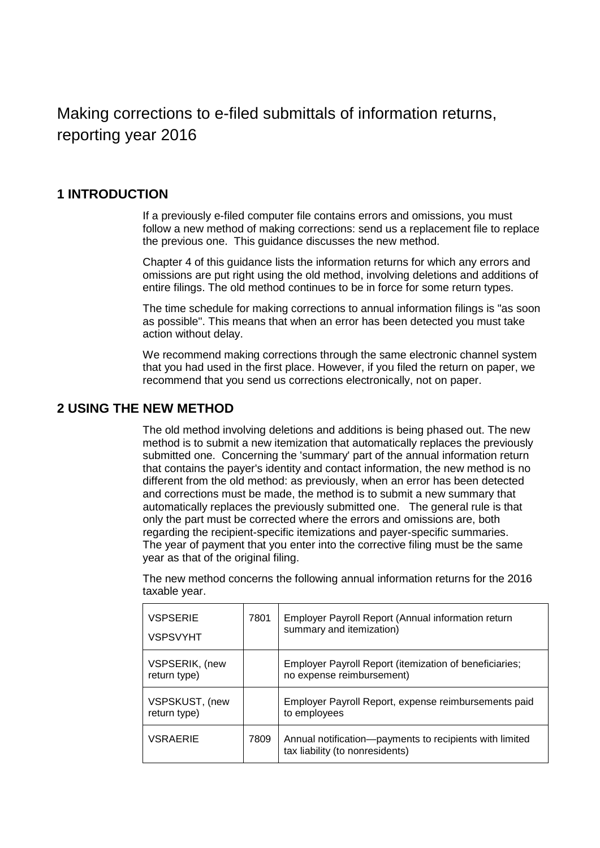Making corrections to e-filed submittals of information returns, reporting year 2016

## **1 INTRODUCTION**

If a previously e-filed computer file contains errors and omissions, you must follow a new method of making corrections: send us a replacement file to replace the previous one. This guidance discusses the new method.

Chapter 4 of this guidance lists the information returns for which any errors and omissions are put right using the old method, involving deletions and additions of entire filings. The old method continues to be in force for some return types.

The time schedule for making corrections to annual information filings is "as soon as possible". This means that when an error has been detected you must take action without delay.

We recommend making corrections through the same electronic channel system that you had used in the first place. However, if you filed the return on paper, we recommend that you send us corrections electronically, not on paper.

### **2 USING THE NEW METHOD**

The old method involving deletions and additions is being phased out. The new method is to submit a new itemization that automatically replaces the previously submitted one. Concerning the 'summary' part of the annual information return that contains the payer's identity and contact information, the new method is no different from the old method: as previously, when an error has been detected and corrections must be made, the method is to submit a new summary that automatically replaces the previously submitted one. The general rule is that only the part must be corrected where the errors and omissions are, both regarding the recipient-specific itemizations and payer-specific summaries. The year of payment that you enter into the corrective filing must be the same year as that of the original filing.

The new method concerns the following annual information returns for the 2016 taxable year.

| <b>VSPSERIE</b><br><b>VSPSVYHT</b> | 7801 | Employer Payroll Report (Annual information return<br>summary and itemization)             |
|------------------------------------|------|--------------------------------------------------------------------------------------------|
| VSPSERIK, (new<br>return type)     |      | Employer Payroll Report (itemization of beneficiaries;<br>no expense reimbursement)        |
| VSPSKUST, (new<br>return type)     |      | Employer Payroll Report, expense reimbursements paid<br>to employees                       |
| <b>VSRAERIE</b>                    | 7809 | Annual notification-payments to recipients with limited<br>tax liability (to nonresidents) |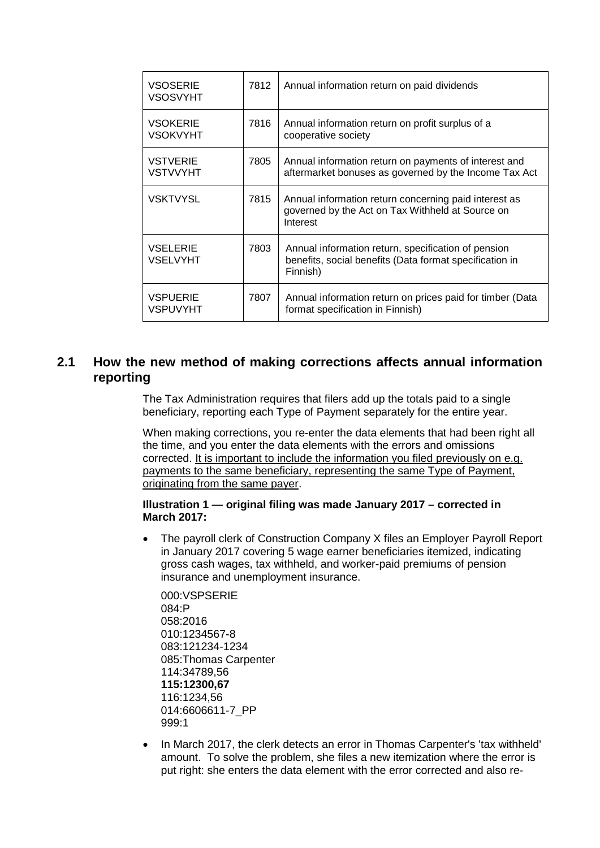| <b>VSOSERIE</b><br><b>VSOSVYHT</b> | 7812 | Annual information return on paid dividends                                                                                |
|------------------------------------|------|----------------------------------------------------------------------------------------------------------------------------|
| <b>VSOKERIE</b><br><b>VSOKVYHT</b> | 7816 | Annual information return on profit surplus of a<br>cooperative society                                                    |
| <b>VSTVERIE</b><br><b>VSTVVYHT</b> | 7805 | Annual information return on payments of interest and<br>aftermarket bonuses as governed by the Income Tax Act             |
| <b>VSKTVYSL</b>                    | 7815 | Annual information return concerning paid interest as<br>governed by the Act on Tax Withheld at Source on<br>Interest      |
| <b>VSELERIE</b><br><b>VSELVYHT</b> | 7803 | Annual information return, specification of pension<br>benefits, social benefits (Data format specification in<br>Finnish) |
| <b>VSPUERIE</b><br><b>VSPUVYHT</b> | 7807 | Annual information return on prices paid for timber (Data<br>format specification in Finnish)                              |

# **2.1 How the new method of making corrections affects annual information reporting**

The Tax Administration requires that filers add up the totals paid to a single beneficiary, reporting each Type of Payment separately for the entire year.

When making corrections, you re-enter the data elements that had been right all the time, and you enter the data elements with the errors and omissions corrected. It is important to include the information you filed previously on e.g. payments to the same beneficiary, representing the same Type of Payment, originating from the same payer.

#### **Illustration 1 — original filing was made January 2017 – corrected in March 2017:**

• The payroll clerk of Construction Company X files an Employer Payroll Report in January 2017 covering 5 wage earner beneficiaries itemized, indicating gross cash wages, tax withheld, and worker-paid premiums of pension insurance and unemployment insurance.

000:VSPSERIE 084:P 058:2016 010:1234567-8 083:121234-1234 085:Thomas Carpenter 114:34789,56 **115:12300,67** 116:1234,56 014:6606611-7\_PP 999:1

• In March 2017, the clerk detects an error in Thomas Carpenter's 'tax withheld' amount. To solve the problem, she files a new itemization where the error is put right: she enters the data element with the error corrected and also re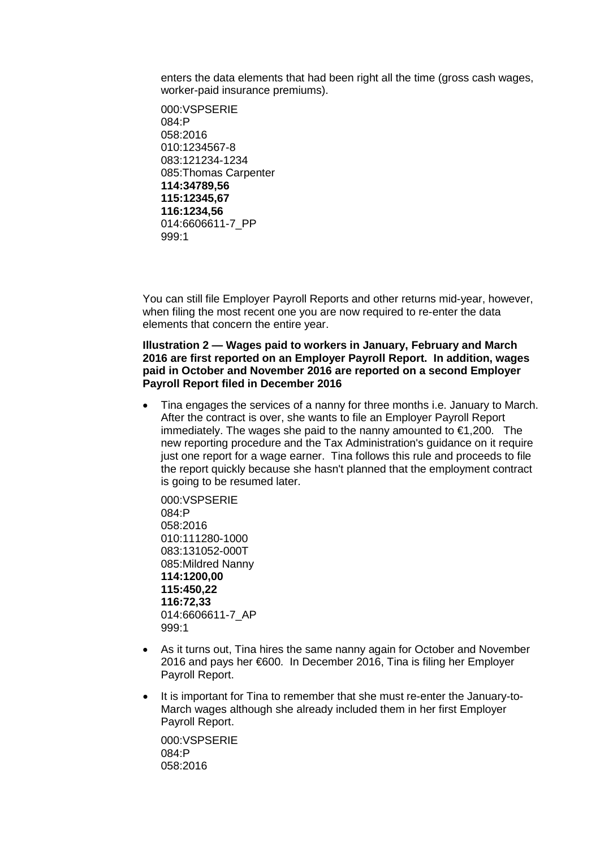enters the data elements that had been right all the time (gross cash wages, worker-paid insurance premiums).

000:VSPSERIE 084:P 058:2016 010:1234567-8 083:121234-1234 085:Thomas Carpenter **114:34789,56 115:12345,67 116:1234,56** 014:6606611-7\_PP 999:1

You can still file Employer Payroll Reports and other returns mid-year, however, when filing the most recent one you are now required to re-enter the data elements that concern the entire year.

#### **Illustration 2 — Wages paid to workers in January, February and March 2016 are first reported on an Employer Payroll Report. In addition, wages paid in October and November 2016 are reported on a second Employer Payroll Report filed in December 2016**

• Tina engages the services of a nanny for three months i.e. January to March. After the contract is over, she wants to file an Employer Payroll Report immediately. The wages she paid to the nanny amounted to €1,200. The new reporting procedure and the Tax Administration's guidance on it require just one report for a wage earner. Tina follows this rule and proceeds to file the report quickly because she hasn't planned that the employment contract is going to be resumed later.

000:VSPSERIE 084:P 058:2016 010:111280-1000 083:131052-000T 085:Mildred Nanny **114:1200,00 115:450,22 116:72,33**  014:6606611-7\_AP 999:1

- As it turns out, Tina hires the same nanny again for October and November 2016 and pays her €600. In December 2016, Tina is filing her Employer Payroll Report.
- It is important for Tina to remember that she must re-enter the January-to-March wages although she already included them in her first Employer Payroll Report.

000:VSPSERIE 084:P 058:2016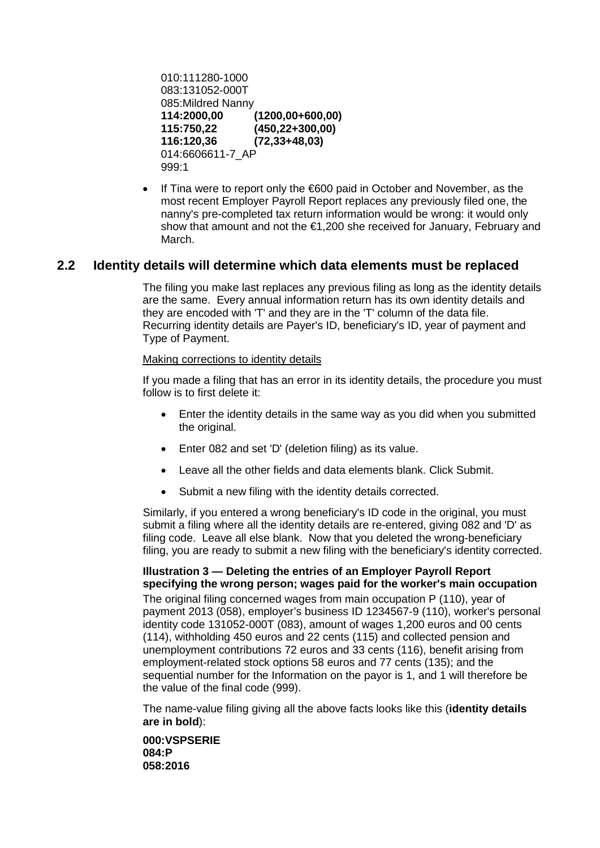```
010:111280-1000 
083:131052-000T
085:Mildred Nanny 
114:2000,00 (1200,00+600,00) 
                 115:750,22 (450,22+300,00)
116:120,36 (72,33+48,03)
014:6606611-7_AP
999:1
```
If Tina were to report only the €600 paid in October and November, as the most recent Employer Payroll Report replaces any previously filed one, the nanny's pre-completed tax return information would be wrong: it would only show that amount and not the €1,200 she received for January, February and March.

# **2.2 Identity details will determine which data elements must be replaced**

The filing you make last replaces any previous filing as long as the identity details are the same. Every annual information return has its own identity details and they are encoded with 'T' and they are in the 'T' column of the data file. Recurring identity details are Payer's ID, beneficiary's ID, year of payment and Type of Payment.

#### Making corrections to identity details

If you made a filing that has an error in its identity details, the procedure you must follow is to first delete it:

- Enter the identity details in the same way as you did when you submitted the original.
- Enter 082 and set 'D' (deletion filing) as its value.
- Leave all the other fields and data elements blank. Click Submit.
- Submit a new filing with the identity details corrected.

Similarly, if you entered a wrong beneficiary's ID code in the original, you must submit a filing where all the identity details are re-entered, giving 082 and 'D' as filing code. Leave all else blank. Now that you deleted the wrong-beneficiary filing, you are ready to submit a new filing with the beneficiary's identity corrected.

**Illustration 3 — Deleting the entries of an Employer Payroll Report specifying the wrong person; wages paid for the worker's main occupation**  The original filing concerned wages from main occupation P (110), year of payment 2013 (058), employer's business ID 1234567-9 (110), worker's personal identity code 131052-000T (083), amount of wages 1,200 euros and 00 cents (114), withholding 450 euros and 22 cents (115) and collected pension and unemployment contributions 72 euros and 33 cents (116), benefit arising from employment-related stock options 58 euros and 77 cents (135); and the sequential number for the Information on the payor is 1, and 1 will therefore be the value of the final code (999).

The name-value filing giving all the above facts looks like this (**identity details are in bold**):

**000:VSPSERIE 084:P 058:2016**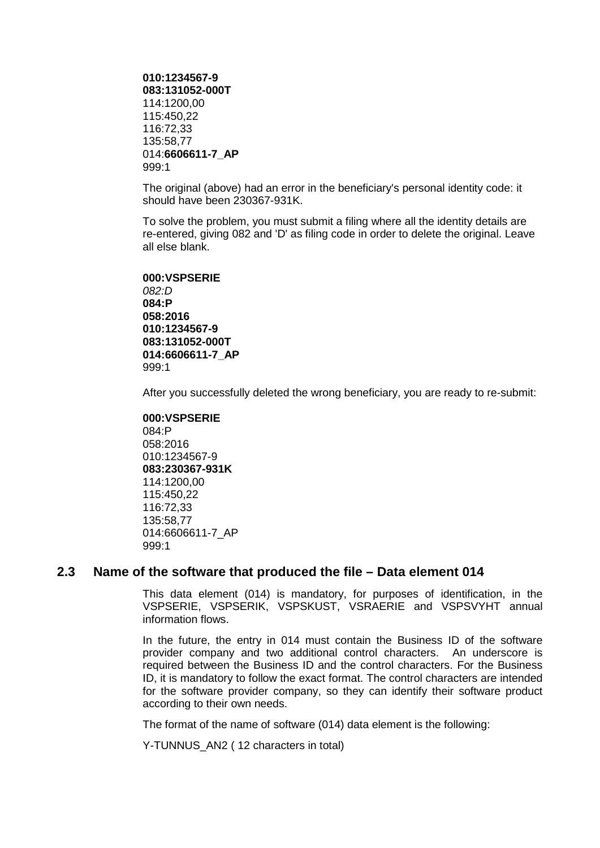```
010:1234567-9 
083:131052-000T
114:1200,00 
115:450,22 
116:72,33 
135:58,77 
014:6606611-7_AP
999:1
```
The original (above) had an error in the beneficiary's personal identity code: it should have been 230367-931K.

To solve the problem, you must submit a filing where all the identity details are re-entered, giving 082 and 'D' as filing code in order to delete the original. Leave all else blank.

**000:VSPSERIE** *082:D* **084:P 058:2016** 

**010:1234567-9 083:131052-000T 014:6606611-7\_AP** 999:1

After you successfully deleted the wrong beneficiary, you are ready to re-submit:

**000:VSPSERIE** 084:P 058:2016 010:1234567-9 **083:230367-931K** 114:1200,00 115:450,22 116:72,33 135:58,77 014:6606611-7\_AP 999:1

## **2.3 Name of the software that produced the file – Data element 014**

This data element (014) is mandatory, for purposes of identification, in the VSPSERIE, VSPSERIK, VSPSKUST, VSRAERIE and VSPSVYHT annual information flows.

In the future, the entry in 014 must contain the Business ID of the software provider company and two additional control characters. An underscore is required between the Business ID and the control characters. For the Business ID, it is mandatory to follow the exact format. The control characters are intended for the software provider company, so they can identify their software product according to their own needs.

The format of the name of software (014) data element is the following:

Y-TUNNUS AN2 ( 12 characters in total)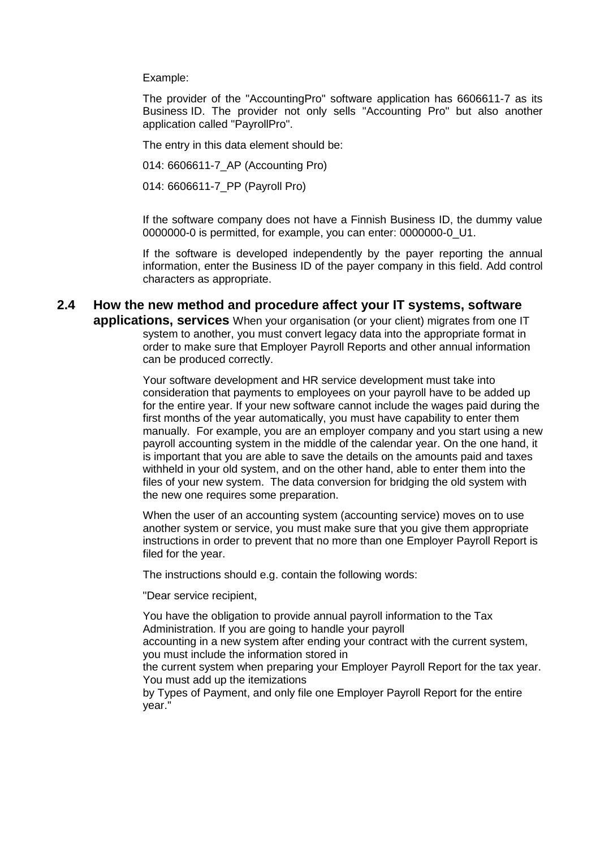Example:

The provider of the "AccountingPro" software application has 6606611-7 as its Business ID. The provider not only sells "Accounting Pro" but also another application called "PayrollPro".

The entry in this data element should be:

014: 6606611-7\_AP (Accounting Pro)

014: 6606611-7\_PP (Payroll Pro)

If the software company does not have a Finnish Business ID, the dummy value 0000000-0 is permitted, for example, you can enter: 0000000-0\_U1.

If the software is developed independently by the payer reporting the annual information, enter the Business ID of the payer company in this field. Add control characters as appropriate.

#### **2.4 How the new method and procedure affect your IT systems, software applications, services** When your organisation (or your client) migrates from one IT system to another, you must convert legacy data into the appropriate format in order to make sure that Employer Payroll Reports and other annual information can be produced correctly.

Your software development and HR service development must take into consideration that payments to employees on your payroll have to be added up for the entire year. If your new software cannot include the wages paid during the first months of the year automatically, you must have capability to enter them manually. For example, you are an employer company and you start using a new payroll accounting system in the middle of the calendar year. On the one hand, it is important that you are able to save the details on the amounts paid and taxes withheld in your old system, and on the other hand, able to enter them into the files of your new system. The data conversion for bridging the old system with the new one requires some preparation.

When the user of an accounting system (accounting service) moves on to use another system or service, you must make sure that you give them appropriate instructions in order to prevent that no more than one Employer Payroll Report is filed for the year.

The instructions should e.g. contain the following words:

"Dear service recipient,

You have the obligation to provide annual payroll information to the Tax Administration. If you are going to handle your payroll accounting in a new system after ending your contract with the current system, you must include the information stored in the current system when preparing your Employer Payroll Report for the tax year. You must add up the itemizations

by Types of Payment, and only file one Employer Payroll Report for the entire year."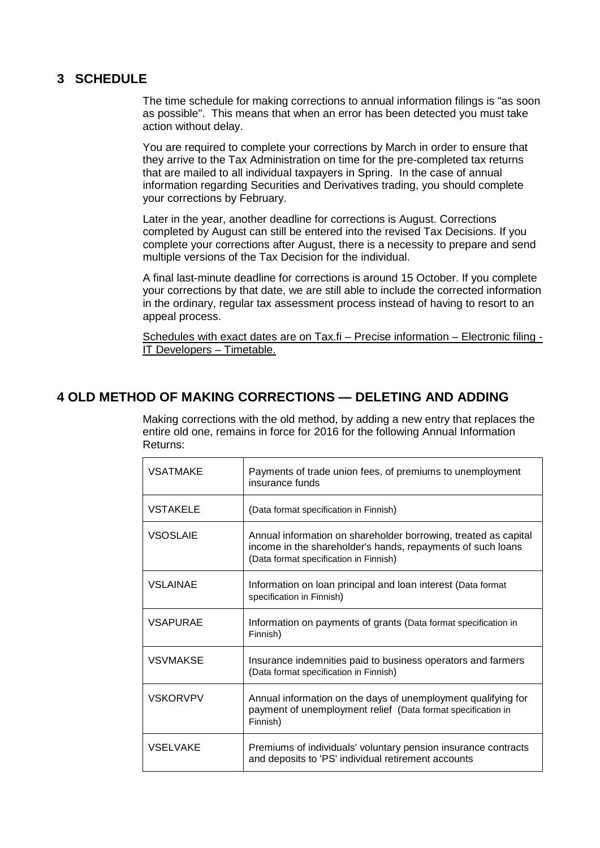# **3 SCHEDULE**

The time schedule for making corrections to annual information filings is "as soon as possible". This means that when an error has been detected you must take action without delay.

You are required to complete your corrections by March in order to ensure that they arrive to the Tax Administration on time for the pre-completed tax returns that are mailed to all individual taxpayers in Spring. In the case of annual information regarding Securities and Derivatives trading, you should complete your corrections by February.

Later in the year, another deadline for corrections is August. Corrections completed by August can still be entered into the revised Tax Decisions. If you complete your corrections after August, there is a necessity to prepare and send multiple versions of the Tax Decision for the individual.

A final last-minute deadline for corrections is around 15 October. If you complete your corrections by that date, we are still able to include the corrected information in the ordinary, regular tax assessment process instead of having to resort to an appeal process.

Schedules with exact dates are on Tax.fi - Precise information - Electronic filing -IT Developers – Timetable.

# **4 OLD METHOD OF MAKING CORRECTIONS — DELETING AND ADDING**

Making corrections with the old method, by adding a new entry that replaces the entire old one, remains in force for 2016 for the following Annual Information Returns:

| <b>VSATMAKE</b> | Payments of trade union fees, of premiums to unemployment<br>insurance funds                                                                                             |
|-----------------|--------------------------------------------------------------------------------------------------------------------------------------------------------------------------|
| <b>VSTAKELE</b> | (Data format specification in Finnish)                                                                                                                                   |
| <b>VSOSLAIE</b> | Annual information on shareholder borrowing, treated as capital<br>income in the shareholder's hands, repayments of such loans<br>(Data format specification in Finnish) |
| <b>VSLAINAE</b> | Information on loan principal and loan interest (Data format<br>specification in Finnish)                                                                                |
| <b>VSAPURAE</b> | Information on payments of grants (Data format specification in<br>Finnish)                                                                                              |
| <b>VSVMAKSE</b> | Insurance indemnities paid to business operators and farmers<br>(Data format specification in Finnish)                                                                   |
| <b>VSKORVPV</b> | Annual information on the days of unemployment qualifying for<br>payment of unemployment relief (Data format specification in<br>Finnish)                                |
| <b>VSELVAKE</b> | Premiums of individuals' voluntary pension insurance contracts<br>and deposits to 'PS' individual retirement accounts                                                    |